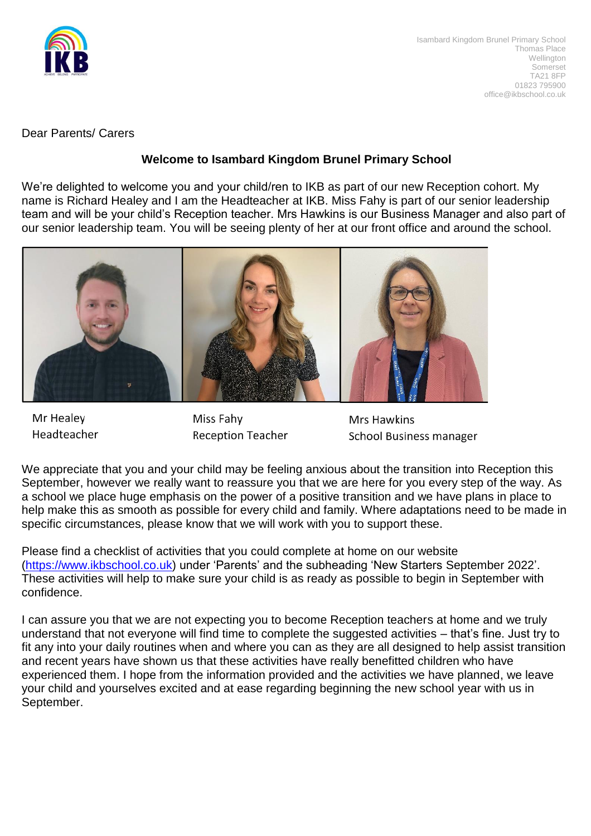

Dear Parents/ Carers

## **Welcome to Isambard Kingdom Brunel Primary School**

We're delighted to welcome you and your child/ren to IKB as part of our new Reception cohort. My name is Richard Healey and I am the Headteacher at IKB. Miss Fahy is part of our senior leadership team and will be your child's Reception teacher. Mrs Hawkins is our Business Manager and also part of our senior leadership team. You will be seeing plenty of her at our front office and around the school.



Mr Healey Headteacher

Miss Fahy **Reception Teacher** 

**Mrs Hawkins School Business manager** 

We appreciate that you and your child may be feeling anxious about the transition into Reception this September, however we really want to reassure you that we are here for you every step of the way. As a school we place huge emphasis on the power of a positive transition and we have plans in place to help make this as smooth as possible for every child and family. Where adaptations need to be made in specific circumstances, please know that we will work with you to support these.

Please find a checklist of activities that you could complete at home on our website [\(https://www.ikbschool.co.uk\)](https://www.ikbschool.co.uk/) under 'Parents' and the subheading 'New Starters September 2022'. These activities will help to make sure your child is as ready as possible to begin in September with confidence.

I can assure you that we are not expecting you to become Reception teachers at home and we truly understand that not everyone will find time to complete the suggested activities – that's fine. Just try to fit any into your daily routines when and where you can as they are all designed to help assist transition and recent years have shown us that these activities have really benefitted children who have experienced them. I hope from the information provided and the activities we have planned, we leave your child and yourselves excited and at ease regarding beginning the new school year with us in September.